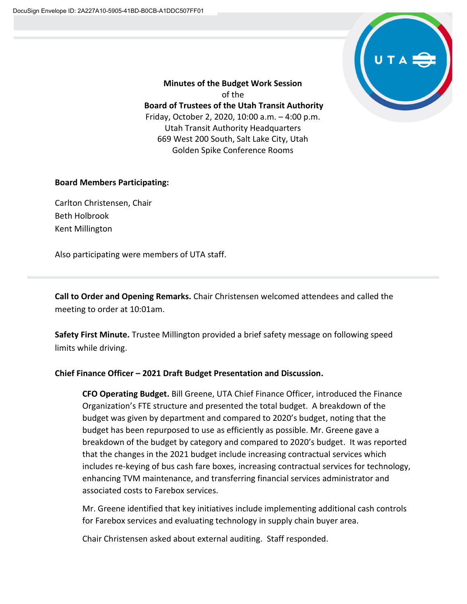

**Minutes of the Budget Work Session** of the **Board of Trustees of the Utah Transit Authority** Friday, October 2, 2020, 10:00 a.m. – 4:00 p.m. Utah Transit Authority Headquarters 669 West 200 South, Salt Lake City, Utah Golden Spike Conference Rooms

## **Board Members Participating:**

Carlton Christensen, Chair Beth Holbrook Kent Millington

Also participating were members of UTA staff.

**Call to Order and Opening Remarks.** Chair Christensen welcomed attendees and called the meeting to order at 10:01am.

**Safety First Minute.** Trustee Millington provided a brief safety message on following speed limits while driving.

## **Chief Finance Officer – 2021 Draft Budget Presentation and Discussion.**

**CFO Operating Budget.** Bill Greene, UTA Chief Finance Officer, introduced the Finance Organization's FTE structure and presented the total budget. A breakdown of the budget was given by department and compared to 2020's budget, noting that the budget has been repurposed to use as efficiently as possible. Mr. Greene gave a breakdown of the budget by category and compared to 2020's budget. It was reported that the changes in the 2021 budget include increasing contractual services which includes re-keying of bus cash fare boxes, increasing contractual services for technology, enhancing TVM maintenance, and transferring financial services administrator and associated costs to Farebox services.

Mr. Greene identified that key initiatives include implementing additional cash controls for Farebox services and evaluating technology in supply chain buyer area.

Chair Christensen asked about external auditing. Staff responded.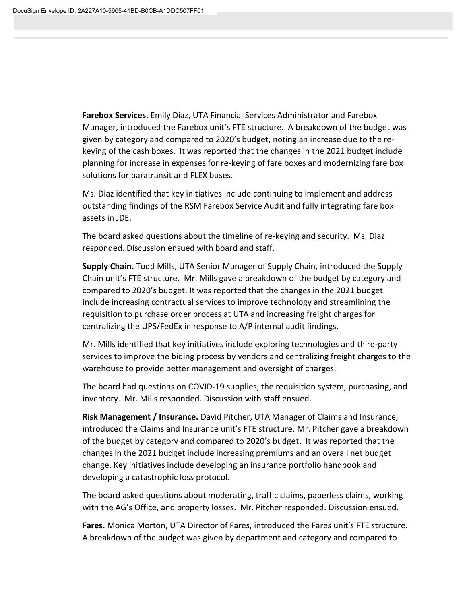**Farebox Services.** Emily Diaz, UTA Financial Services Administrator and Farebox Manager, introduced the Farebox unit's FTE structure. A breakdown of the budget was given by category and compared to 2020's budget, noting an increase due to the rekeying of the cash boxes. It was reported that the changes in the 2021 budget include planning for increase in expenses for re-keying of fare boxes and modernizing fare box solutions for paratransit and FLEX buses.

Ms. Diaz identified that key initiatives include continuing to implement and address outstanding findings of the RSM Farebox Service Audit and fully integrating fare box assets in JDE.

The board asked questions about the timeline of re**-**keying and security. Ms. Diaz responded. Discussion ensued with board and staff.

**Supply Chain.** Todd Mills, UTA Senior Manager of Supply Chain, introduced the Supply Chain unit's FTE structure. Mr. Mills gave a breakdown of the budget by category and compared to 2020's budget. It was reported that the changes in the 2021 budget include increasing contractual services to improve technology and streamlining the requisition to purchase order process at UTA and increasing freight charges for centralizing the UPS/FedEx in response to A/P internal audit findings.

Mr. Mills identified that key initiatives include exploring technologies and third-party services to improve the biding process by vendors and centralizing freight charges to the warehouse to provide better management and oversight of charges.

The board had questions on COVID**-**19 supplies, the requisition system, purchasing, and inventory. Mr. Mills responded. Discussion with staff ensued.

**Risk Management / Insurance.** David Pitcher, UTA Manager of Claims and Insurance, introduced the Claims and Insurance unit's FTE structure. Mr. Pitcher gave a breakdown of the budget by category and compared to 2020's budget. It was reported that the changes in the 2021 budget include increasing premiums and an overall net budget change. Key initiatives include developing an insurance portfolio handbook and developing a catastrophic loss protocol.

The board asked questions about moderating, traffic claims, paperless claims, working with the AG's Office, and property losses. Mr. Pitcher responded. Discussion ensued.

**Fares.** Monica Morton, UTA Director of Fares, introduced the Fares unit's FTE structure. A breakdown of the budget was given by department and category and compared to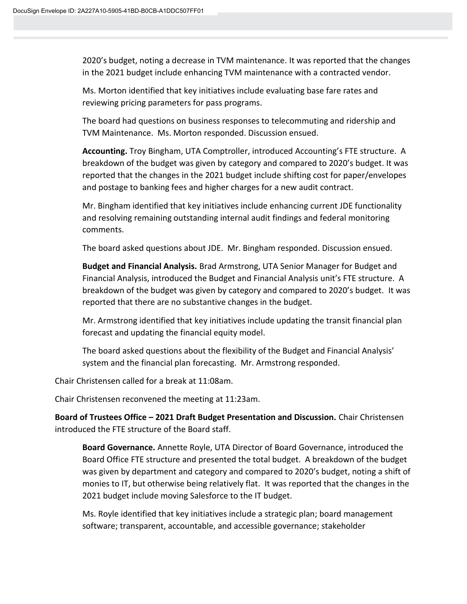2020's budget, noting a decrease in TVM maintenance. It was reported that the changes in the 2021 budget include enhancing TVM maintenance with a contracted vendor.

Ms. Morton identified that key initiatives include evaluating base fare rates and reviewing pricing parameters for pass programs.

The board had questions on business responses to telecommuting and ridership and TVM Maintenance. Ms. Morton responded. Discussion ensued.

**Accounting.** Troy Bingham, UTA Comptroller, introduced Accounting's FTE structure. A breakdown of the budget was given by category and compared to 2020's budget. It was reported that the changes in the 2021 budget include shifting cost for paper/envelopes and postage to banking fees and higher charges for a new audit contract.

Mr. Bingham identified that key initiatives include enhancing current JDE functionality and resolving remaining outstanding internal audit findings and federal monitoring comments.

The board asked questions about JDE. Mr. Bingham responded. Discussion ensued.

**Budget and Financial Analysis.** Brad Armstrong, UTA Senior Manager for Budget and Financial Analysis, introduced the Budget and Financial Analysis unit's FTE structure. A breakdown of the budget was given by category and compared to 2020's budget. It was reported that there are no substantive changes in the budget.

Mr. Armstrong identified that key initiatives include updating the transit financial plan forecast and updating the financial equity model.

The board asked questions about the flexibility of the Budget and Financial Analysis' system and the financial plan forecasting. Mr. Armstrong responded.

Chair Christensen called for a break at 11:08am.

Chair Christensen reconvened the meeting at 11:23am.

**Board of Trustees Office – 2021 Draft Budget Presentation and Discussion.** Chair Christensen introduced the FTE structure of the Board staff.

**Board Governance.** Annette Royle, UTA Director of Board Governance, introduced the Board Office FTE structure and presented the total budget. A breakdown of the budget was given by department and category and compared to 2020's budget, noting a shift of monies to IT, but otherwise being relatively flat. It was reported that the changes in the 2021 budget include moving Salesforce to the IT budget.

Ms. Royle identified that key initiatives include a strategic plan; board management software; transparent, accountable, and accessible governance; stakeholder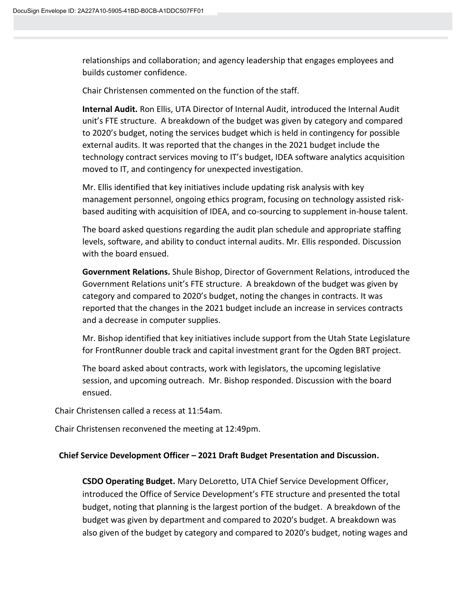relationships and collaboration; and agency leadership that engages employees and builds customer confidence.

Chair Christensen commented on the function of the staff.

**Internal Audit.** Ron Ellis, UTA Director of Internal Audit, introduced the Internal Audit unit's FTE structure. A breakdown of the budget was given by category and compared to 2020's budget, noting the services budget which is held in contingency for possible external audits. It was reported that the changes in the 2021 budget include the technology contract services moving to IT's budget, IDEA software analytics acquisition moved to IT, and contingency for unexpected investigation.

Mr. Ellis identified that key initiatives include updating risk analysis with key management personnel, ongoing ethics program, focusing on technology assisted riskbased auditing with acquisition of IDEA, and co-sourcing to supplement in-house talent.

The board asked questions regarding the audit plan schedule and appropriate staffing levels, software, and ability to conduct internal audits. Mr. Ellis responded. Discussion with the board ensued.

**Government Relations.** Shule Bishop, Director of Government Relations, introduced the Government Relations unit's FTE structure. A breakdown of the budget was given by category and compared to 2020's budget, noting the changes in contracts. It was reported that the changes in the 2021 budget include an increase in services contracts and a decrease in computer supplies.

Mr. Bishop identified that key initiatives include support from the Utah State Legislature for FrontRunner double track and capital investment grant for the Ogden BRT project.

The board asked about contracts, work with legislators, the upcoming legislative session, and upcoming outreach. Mr. Bishop responded. Discussion with the board ensued.

Chair Christensen called a recess at 11:54am.

Chair Christensen reconvened the meeting at 12:49pm.

## **Chief Service Development Officer – 2021 Draft Budget Presentation and Discussion.**

**CSDO Operating Budget.** Mary DeLoretto, UTA Chief Service Development Officer, introduced the Office of Service Development's FTE structure and presented the total budget, noting that planning is the largest portion of the budget. A breakdown of the budget was given by department and compared to 2020's budget. A breakdown was also given of the budget by category and compared to 2020's budget, noting wages and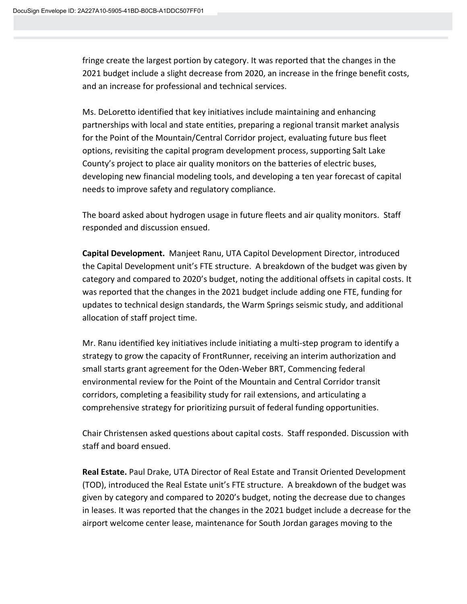fringe create the largest portion by category. It was reported that the changes in the 2021 budget include a slight decrease from 2020, an increase in the fringe benefit costs, and an increase for professional and technical services.

Ms. DeLoretto identified that key initiatives include maintaining and enhancing partnerships with local and state entities, preparing a regional transit market analysis for the Point of the Mountain/Central Corridor project, evaluating future bus fleet options, revisiting the capital program development process, supporting Salt Lake County's project to place air quality monitors on the batteries of electric buses, developing new financial modeling tools, and developing a ten year forecast of capital needs to improve safety and regulatory compliance.

The board asked about hydrogen usage in future fleets and air quality monitors. Staff responded and discussion ensued.

**Capital Development.** Manjeet Ranu, UTA Capitol Development Director, introduced the Capital Development unit's FTE structure. A breakdown of the budget was given by category and compared to 2020's budget, noting the additional offsets in capital costs. It was reported that the changes in the 2021 budget include adding one FTE, funding for updates to technical design standards, the Warm Springs seismic study, and additional allocation of staff project time.

Mr. Ranu identified key initiatives include initiating a multi-step program to identify a strategy to grow the capacity of FrontRunner, receiving an interim authorization and small starts grant agreement for the Oden-Weber BRT, Commencing federal environmental review for the Point of the Mountain and Central Corridor transit corridors, completing a feasibility study for rail extensions, and articulating a comprehensive strategy for prioritizing pursuit of federal funding opportunities.

Chair Christensen asked questions about capital costs. Staff responded. Discussion with staff and board ensued.

**Real Estate.** Paul Drake, UTA Director of Real Estate and Transit Oriented Development (TOD), introduced the Real Estate unit's FTE structure. A breakdown of the budget was given by category and compared to 2020's budget, noting the decrease due to changes in leases. It was reported that the changes in the 2021 budget include a decrease for the airport welcome center lease, maintenance for South Jordan garages moving to the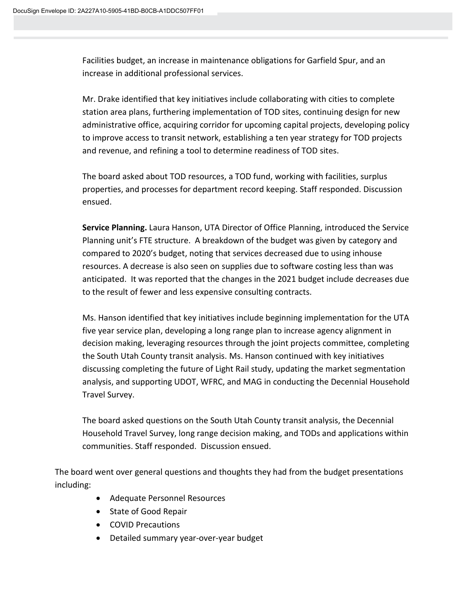Facilities budget, an increase in maintenance obligations for Garfield Spur, and an increase in additional professional services.

Mr. Drake identified that key initiatives include collaborating with cities to complete station area plans, furthering implementation of TOD sites, continuing design for new administrative office, acquiring corridor for upcoming capital projects, developing policy to improve access to transit network, establishing a ten year strategy for TOD projects and revenue, and refining a tool to determine readiness of TOD sites.

The board asked about TOD resources, a TOD fund, working with facilities, surplus properties, and processes for department record keeping. Staff responded. Discussion ensued.

**Service Planning.** Laura Hanson, UTA Director of Office Planning, introduced the Service Planning unit's FTE structure. A breakdown of the budget was given by category and compared to 2020's budget, noting that services decreased due to using inhouse resources. A decrease is also seen on supplies due to software costing less than was anticipated. It was reported that the changes in the 2021 budget include decreases due to the result of fewer and less expensive consulting contracts.

Ms. Hanson identified that key initiatives include beginning implementation for the UTA five year service plan, developing a long range plan to increase agency alignment in decision making, leveraging resources through the joint projects committee, completing the South Utah County transit analysis. Ms. Hanson continued with key initiatives discussing completing the future of Light Rail study, updating the market segmentation analysis, and supporting UDOT, WFRC, and MAG in conducting the Decennial Household Travel Survey.

The board asked questions on the South Utah County transit analysis, the Decennial Household Travel Survey, long range decision making, and TODs and applications within communities. Staff responded. Discussion ensued.

The board went over general questions and thoughts they had from the budget presentations including:

- Adequate Personnel Resources
- State of Good Repair
- COVID Precautions
- Detailed summary year-over-year budget